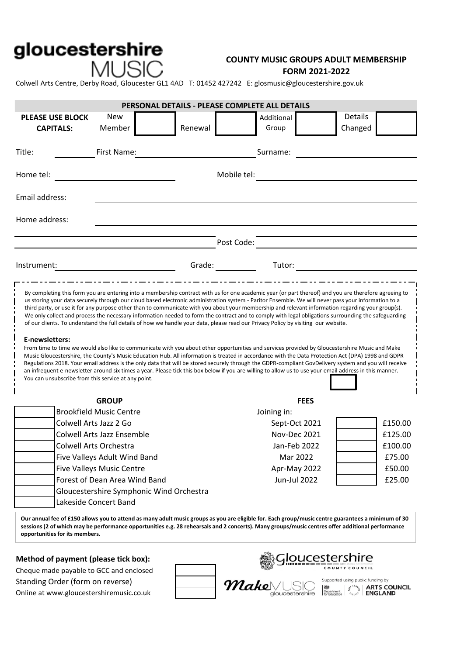# gloucestershire MUSIC

## **FORM 2021-2022 COUNTY MUSIC GROUPS ADULT MEMBERSHIP**

Colwell Arts Centre, Derby Road, Gloucester GL1 4AD T: 01452 427242 E: glosmusic@gloucestershire.gov.uk

| Details<br><b>New</b><br><b>PLEASE USE BLOCK</b><br>Additional<br>Changed<br>Member<br>Renewal<br>Group<br><b>CAPITALS:</b><br>First Name:<br>Surname:<br>Mobile tel:<br>Post Code:<br>Grade: The Contract of the Contract of the Contract of the Contract of the Contract of the Contract of the Contract of the Contract of the Contract of the Contract of the Contract of the Contract of the Contract of the Con<br>Tutor:<br>By completing this form you are entering into a membership contract with us for one academic year (or part thereof) and you are therefore agreeing to<br>us storing your data securely through our cloud based electronic administration system - Paritor Ensemble. We will never pass your information to a<br>third party, or use it for any purpose other than to communicate with you about your membership and relevant information regarding your group(s).<br>We only collect and process the necessary information needed to form the contract and to comply with legal obligations surrounding the safeguarding<br>of our clients. To understand the full details of how we handle your data, please read our Privacy Policy by visiting our website.<br>E-newsletters:<br>From time to time we would also like to communicate with you about other opportunities and services provided by Gloucestershire Music and Make<br>Music Gloucestershire, the County's Music Education Hub. All information is treated in accordance with the Data Protection Act (DPA) 1998 and GDPR<br>Regulations 2018. Your email address is the only data that will be stored securely through the GDPR-compliant GovDelivery system and you will receive<br>an infrequent e-newsletter around six times a year. Please tick this box below if you are willing to allow us to use your email address in this manner.<br>You can unsubscribe from this service at any point.<br><b>GROUP</b><br><b>FEES</b><br><b>Brookfield Music Centre</b><br>Joining in:<br>Colwell Arts Jazz 2 Go<br>£150.00<br>Sept-Oct 2021<br><b>Colwell Arts Jazz Ensemble</b><br>Nov-Dec 2021<br>£125.00<br>Colwell Arts Orchestra<br>Jan-Feb 2022<br>£100.00<br>£75.00<br>Five Valleys Adult Wind Band<br>Mar 2022<br><b>Five Valleys Music Centre</b><br>Apr-May 2022<br>£50.00<br>Forest of Dean Area Wind Band<br><b>Jun-Jul 2022</b><br>£25.00<br>Gloucestershire Symphonic Wind Orchestra<br>Lakeside Concert Band | PERSONAL DETAILS - PLEASE COMPLETE ALL DETAILS |  |  |  |  |  |  |  |
|------------------------------------------------------------------------------------------------------------------------------------------------------------------------------------------------------------------------------------------------------------------------------------------------------------------------------------------------------------------------------------------------------------------------------------------------------------------------------------------------------------------------------------------------------------------------------------------------------------------------------------------------------------------------------------------------------------------------------------------------------------------------------------------------------------------------------------------------------------------------------------------------------------------------------------------------------------------------------------------------------------------------------------------------------------------------------------------------------------------------------------------------------------------------------------------------------------------------------------------------------------------------------------------------------------------------------------------------------------------------------------------------------------------------------------------------------------------------------------------------------------------------------------------------------------------------------------------------------------------------------------------------------------------------------------------------------------------------------------------------------------------------------------------------------------------------------------------------------------------------------------------------------------------------------------------------------------------------------------------------------------------------------------------------------------------------------------------------------------------------------------------------------------------------------------------------------------------------------------------------------------------------------------------------------------------------------------------------------------------------------------------------------------------------------|------------------------------------------------|--|--|--|--|--|--|--|
|                                                                                                                                                                                                                                                                                                                                                                                                                                                                                                                                                                                                                                                                                                                                                                                                                                                                                                                                                                                                                                                                                                                                                                                                                                                                                                                                                                                                                                                                                                                                                                                                                                                                                                                                                                                                                                                                                                                                                                                                                                                                                                                                                                                                                                                                                                                                                                                                                              |                                                |  |  |  |  |  |  |  |
|                                                                                                                                                                                                                                                                                                                                                                                                                                                                                                                                                                                                                                                                                                                                                                                                                                                                                                                                                                                                                                                                                                                                                                                                                                                                                                                                                                                                                                                                                                                                                                                                                                                                                                                                                                                                                                                                                                                                                                                                                                                                                                                                                                                                                                                                                                                                                                                                                              | Title:                                         |  |  |  |  |  |  |  |
|                                                                                                                                                                                                                                                                                                                                                                                                                                                                                                                                                                                                                                                                                                                                                                                                                                                                                                                                                                                                                                                                                                                                                                                                                                                                                                                                                                                                                                                                                                                                                                                                                                                                                                                                                                                                                                                                                                                                                                                                                                                                                                                                                                                                                                                                                                                                                                                                                              | Home tel:                                      |  |  |  |  |  |  |  |
|                                                                                                                                                                                                                                                                                                                                                                                                                                                                                                                                                                                                                                                                                                                                                                                                                                                                                                                                                                                                                                                                                                                                                                                                                                                                                                                                                                                                                                                                                                                                                                                                                                                                                                                                                                                                                                                                                                                                                                                                                                                                                                                                                                                                                                                                                                                                                                                                                              | Email address:                                 |  |  |  |  |  |  |  |
|                                                                                                                                                                                                                                                                                                                                                                                                                                                                                                                                                                                                                                                                                                                                                                                                                                                                                                                                                                                                                                                                                                                                                                                                                                                                                                                                                                                                                                                                                                                                                                                                                                                                                                                                                                                                                                                                                                                                                                                                                                                                                                                                                                                                                                                                                                                                                                                                                              | Home address:                                  |  |  |  |  |  |  |  |
|                                                                                                                                                                                                                                                                                                                                                                                                                                                                                                                                                                                                                                                                                                                                                                                                                                                                                                                                                                                                                                                                                                                                                                                                                                                                                                                                                                                                                                                                                                                                                                                                                                                                                                                                                                                                                                                                                                                                                                                                                                                                                                                                                                                                                                                                                                                                                                                                                              |                                                |  |  |  |  |  |  |  |
|                                                                                                                                                                                                                                                                                                                                                                                                                                                                                                                                                                                                                                                                                                                                                                                                                                                                                                                                                                                                                                                                                                                                                                                                                                                                                                                                                                                                                                                                                                                                                                                                                                                                                                                                                                                                                                                                                                                                                                                                                                                                                                                                                                                                                                                                                                                                                                                                                              | Instrument:                                    |  |  |  |  |  |  |  |
|                                                                                                                                                                                                                                                                                                                                                                                                                                                                                                                                                                                                                                                                                                                                                                                                                                                                                                                                                                                                                                                                                                                                                                                                                                                                                                                                                                                                                                                                                                                                                                                                                                                                                                                                                                                                                                                                                                                                                                                                                                                                                                                                                                                                                                                                                                                                                                                                                              |                                                |  |  |  |  |  |  |  |
|                                                                                                                                                                                                                                                                                                                                                                                                                                                                                                                                                                                                                                                                                                                                                                                                                                                                                                                                                                                                                                                                                                                                                                                                                                                                                                                                                                                                                                                                                                                                                                                                                                                                                                                                                                                                                                                                                                                                                                                                                                                                                                                                                                                                                                                                                                                                                                                                                              |                                                |  |  |  |  |  |  |  |
|                                                                                                                                                                                                                                                                                                                                                                                                                                                                                                                                                                                                                                                                                                                                                                                                                                                                                                                                                                                                                                                                                                                                                                                                                                                                                                                                                                                                                                                                                                                                                                                                                                                                                                                                                                                                                                                                                                                                                                                                                                                                                                                                                                                                                                                                                                                                                                                                                              |                                                |  |  |  |  |  |  |  |
|                                                                                                                                                                                                                                                                                                                                                                                                                                                                                                                                                                                                                                                                                                                                                                                                                                                                                                                                                                                                                                                                                                                                                                                                                                                                                                                                                                                                                                                                                                                                                                                                                                                                                                                                                                                                                                                                                                                                                                                                                                                                                                                                                                                                                                                                                                                                                                                                                              |                                                |  |  |  |  |  |  |  |
|                                                                                                                                                                                                                                                                                                                                                                                                                                                                                                                                                                                                                                                                                                                                                                                                                                                                                                                                                                                                                                                                                                                                                                                                                                                                                                                                                                                                                                                                                                                                                                                                                                                                                                                                                                                                                                                                                                                                                                                                                                                                                                                                                                                                                                                                                                                                                                                                                              |                                                |  |  |  |  |  |  |  |
|                                                                                                                                                                                                                                                                                                                                                                                                                                                                                                                                                                                                                                                                                                                                                                                                                                                                                                                                                                                                                                                                                                                                                                                                                                                                                                                                                                                                                                                                                                                                                                                                                                                                                                                                                                                                                                                                                                                                                                                                                                                                                                                                                                                                                                                                                                                                                                                                                              |                                                |  |  |  |  |  |  |  |
|                                                                                                                                                                                                                                                                                                                                                                                                                                                                                                                                                                                                                                                                                                                                                                                                                                                                                                                                                                                                                                                                                                                                                                                                                                                                                                                                                                                                                                                                                                                                                                                                                                                                                                                                                                                                                                                                                                                                                                                                                                                                                                                                                                                                                                                                                                                                                                                                                              |                                                |  |  |  |  |  |  |  |
|                                                                                                                                                                                                                                                                                                                                                                                                                                                                                                                                                                                                                                                                                                                                                                                                                                                                                                                                                                                                                                                                                                                                                                                                                                                                                                                                                                                                                                                                                                                                                                                                                                                                                                                                                                                                                                                                                                                                                                                                                                                                                                                                                                                                                                                                                                                                                                                                                              |                                                |  |  |  |  |  |  |  |
|                                                                                                                                                                                                                                                                                                                                                                                                                                                                                                                                                                                                                                                                                                                                                                                                                                                                                                                                                                                                                                                                                                                                                                                                                                                                                                                                                                                                                                                                                                                                                                                                                                                                                                                                                                                                                                                                                                                                                                                                                                                                                                                                                                                                                                                                                                                                                                                                                              |                                                |  |  |  |  |  |  |  |
|                                                                                                                                                                                                                                                                                                                                                                                                                                                                                                                                                                                                                                                                                                                                                                                                                                                                                                                                                                                                                                                                                                                                                                                                                                                                                                                                                                                                                                                                                                                                                                                                                                                                                                                                                                                                                                                                                                                                                                                                                                                                                                                                                                                                                                                                                                                                                                                                                              |                                                |  |  |  |  |  |  |  |
|                                                                                                                                                                                                                                                                                                                                                                                                                                                                                                                                                                                                                                                                                                                                                                                                                                                                                                                                                                                                                                                                                                                                                                                                                                                                                                                                                                                                                                                                                                                                                                                                                                                                                                                                                                                                                                                                                                                                                                                                                                                                                                                                                                                                                                                                                                                                                                                                                              |                                                |  |  |  |  |  |  |  |

**Our annual fee of £150 allows you to attend as many adult music groups as you are eligible for. Each group/music centre guarantees a minimum of 30 sessions (2 of which may be performance opportunities e.g. 28 rehearsals and 2 concerts). Many groups/music centres offer additional performance opportunities for its members.** 

#### **Method of payment (please tick box):**

Cheque made payable to GCC and enclosed Standing Order (form on reverse) Online at www.gloucestershiremusic.co.uk